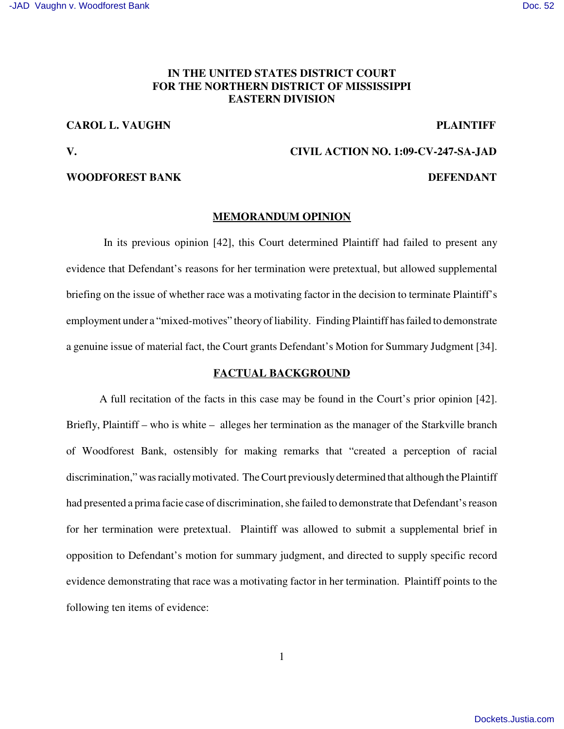# **IN THE UNITED STATES DISTRICT COURT FOR THE NORTHERN DISTRICT OF MISSISSIPPI EASTERN DIVISION**

# **CAROL L. VAUGHN PLAINTIFF**

## **WOODFOREST BANK DEFENDANT**

# **V. CIVIL ACTION NO. 1:09-CV-247-SA-JAD**

### **MEMORANDUM OPINION**

In its previous opinion [42], this Court determined Plaintiff had failed to present any evidence that Defendant's reasons for her termination were pretextual, but allowed supplemental briefing on the issue of whether race was a motivating factor in the decision to terminate Plaintiff's employment under a "mixed-motives" theory of liability. Finding Plaintiff has failed to demonstrate a genuine issue of material fact, the Court grants Defendant's Motion for Summary Judgment [34].

## **FACTUAL BACKGROUND**

A full recitation of the facts in this case may be found in the Court's prior opinion [42]. Briefly, Plaintiff – who is white – alleges her termination as the manager of the Starkville branch of Woodforest Bank, ostensibly for making remarks that "created a perception of racial discrimination," was racially motivated. The Court previously determined that although the Plaintiff had presented a prima facie case of discrimination, she failed to demonstrate that Defendant's reason for her termination were pretextual. Plaintiff was allowed to submit a supplemental brief in opposition to Defendant's motion for summary judgment, and directed to supply specific record evidence demonstrating that race was a motivating factor in her termination. Plaintiff points to the following ten items of evidence: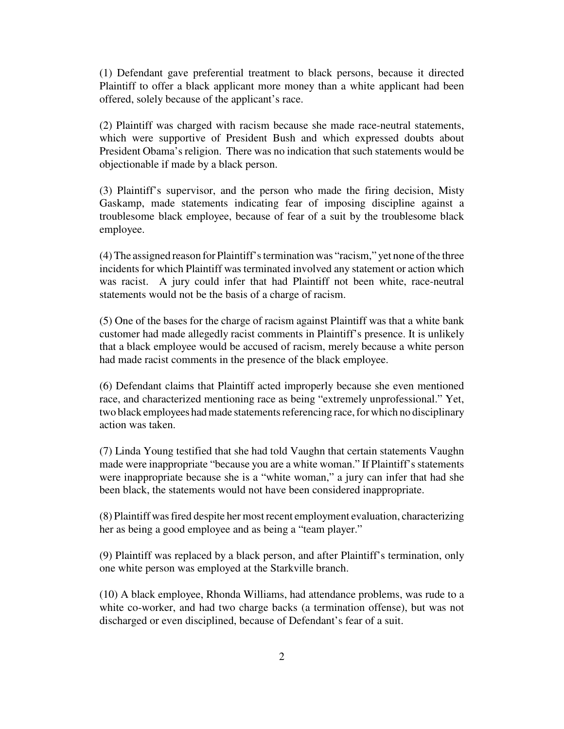(1) Defendant gave preferential treatment to black persons, because it directed Plaintiff to offer a black applicant more money than a white applicant had been offered, solely because of the applicant's race.

(2) Plaintiff was charged with racism because she made race-neutral statements, which were supportive of President Bush and which expressed doubts about President Obama's religion. There was no indication that such statements would be objectionable if made by a black person.

(3) Plaintiff's supervisor, and the person who made the firing decision, Misty Gaskamp, made statements indicating fear of imposing discipline against a troublesome black employee, because of fear of a suit by the troublesome black employee.

(4)The assigned reason for Plaintiff'stermination was "racism," yet none ofthe three incidents for which Plaintiff was terminated involved any statement or action which was racist. A jury could infer that had Plaintiff not been white, race-neutral statements would not be the basis of a charge of racism.

(5) One of the bases for the charge of racism against Plaintiff was that a white bank customer had made allegedly racist comments in Plaintiff's presence. It is unlikely that a black employee would be accused of racism, merely because a white person had made racist comments in the presence of the black employee.

(6) Defendant claims that Plaintiff acted improperly because she even mentioned race, and characterized mentioning race as being "extremely unprofessional." Yet, two black employees had made statements referencing race, for which no disciplinary action was taken.

(7) Linda Young testified that she had told Vaughn that certain statements Vaughn made were inappropriate "because you are a white woman." If Plaintiff's statements were inappropriate because she is a "white woman," a jury can infer that had she been black, the statements would not have been considered inappropriate.

(8) Plaintiff wasfired despite her mostrecent employment evaluation, characterizing her as being a good employee and as being a "team player."

(9) Plaintiff was replaced by a black person, and after Plaintiff's termination, only one white person was employed at the Starkville branch.

(10) A black employee, Rhonda Williams, had attendance problems, was rude to a white co-worker, and had two charge backs (a termination offense), but was not discharged or even disciplined, because of Defendant's fear of a suit.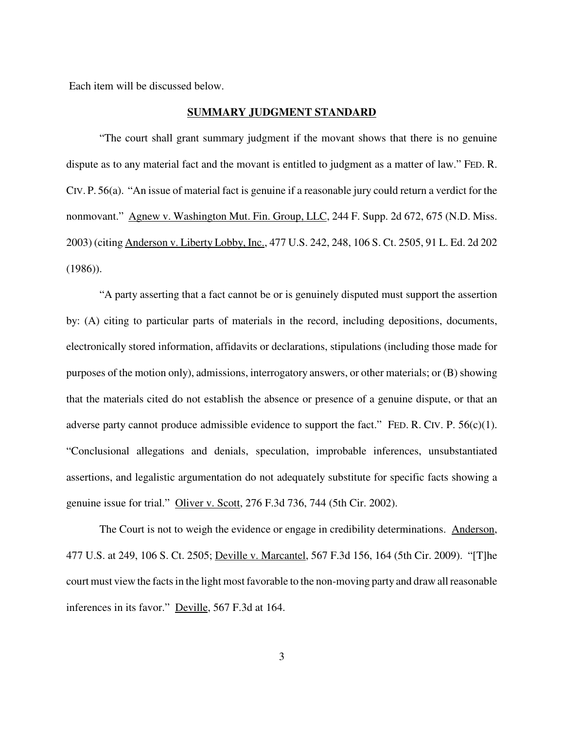Each item will be discussed below.

## **SUMMARY JUDGMENT STANDARD**

"The court shall grant summary judgment if the movant shows that there is no genuine dispute as to any material fact and the movant is entitled to judgment as a matter of law." FED. R. CIV. P. 56(a). "An issue of material fact is genuine if a reasonable jury could return a verdict for the nonmovant." Agnew v. Washington Mut. Fin. Group, LLC, 244 F. Supp. 2d 672, 675 (N.D. Miss. 2003) (citing Anderson v. Liberty Lobby, Inc., 477 U.S. 242, 248, 106 S. Ct. 2505, 91 L. Ed. 2d 202 (1986)).

"A party asserting that a fact cannot be or is genuinely disputed must support the assertion by: (A) citing to particular parts of materials in the record, including depositions, documents, electronically stored information, affidavits or declarations, stipulations (including those made for purposes of the motion only), admissions, interrogatory answers, or other materials; or (B) showing that the materials cited do not establish the absence or presence of a genuine dispute, or that an adverse party cannot produce admissible evidence to support the fact." FED. R. CIV. P. 56(c)(1). "Conclusional allegations and denials, speculation, improbable inferences, unsubstantiated assertions, and legalistic argumentation do not adequately substitute for specific facts showing a genuine issue for trial." Oliver v. Scott, 276 F.3d 736, 744 (5th Cir. 2002).

The Court is not to weigh the evidence or engage in credibility determinations. Anderson, 477 U.S. at 249, 106 S. Ct. 2505; Deville v. Marcantel, 567 F.3d 156, 164 (5th Cir. 2009). "[T]he court must view the factsin the light most favorable to the non-moving party and draw allreasonable inferences in its favor." Deville, 567 F.3d at 164.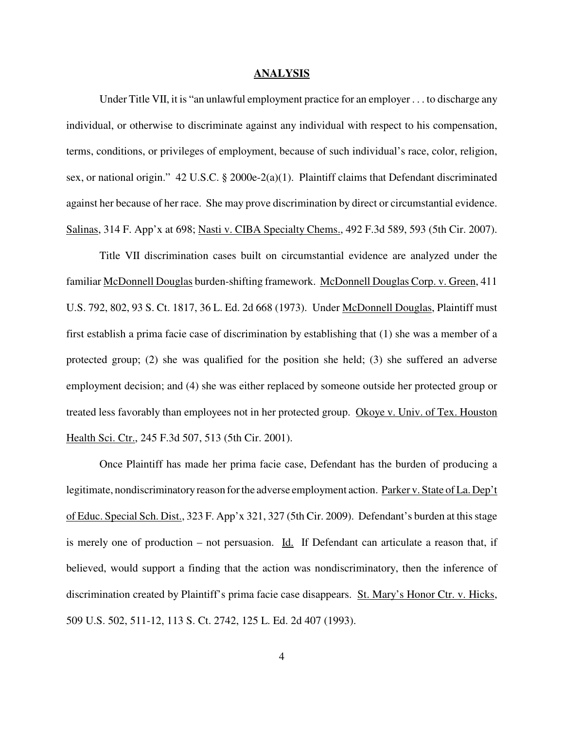#### **ANALYSIS**

Under Title VII, it is "an unlawful employment practice for an employer . . . to discharge any individual, or otherwise to discriminate against any individual with respect to his compensation, terms, conditions, or privileges of employment, because of such individual's race, color, religion, sex, or national origin." 42 U.S.C. § 2000e-2(a)(1). Plaintiff claims that Defendant discriminated against her because of her race. She may prove discrimination by direct or circumstantial evidence. Salinas, 314 F. App'x at 698; Nasti v. CIBA Specialty Chems., 492 F.3d 589, 593 (5th Cir. 2007).

Title VII discrimination cases built on circumstantial evidence are analyzed under the familiar McDonnell Douglas burden-shifting framework. McDonnell Douglas Corp. v. Green, 411 U.S. 792, 802, 93 S. Ct. 1817, 36 L. Ed. 2d 668 (1973). Under McDonnell Douglas, Plaintiff must first establish a prima facie case of discrimination by establishing that (1) she was a member of a protected group; (2) she was qualified for the position she held; (3) she suffered an adverse employment decision; and (4) she was either replaced by someone outside her protected group or treated less favorably than employees not in her protected group. Okoye v. Univ. of Tex. Houston Health Sci. Ctr., 245 F.3d 507, 513 (5th Cir. 2001).

Once Plaintiff has made her prima facie case, Defendant has the burden of producing a legitimate, nondiscriminatory reason for the adverse employment action. Parker v. State of La. Dep't of Educ. Special Sch. Dist., 323 F. App'x 321, 327 (5th Cir. 2009). Defendant's burden at thisstage is merely one of production – not persuasion. Id. If Defendant can articulate a reason that, if believed, would support a finding that the action was nondiscriminatory, then the inference of discrimination created by Plaintiff's prima facie case disappears. St. Mary's Honor Ctr. v. Hicks, 509 U.S. 502, 511-12, 113 S. Ct. 2742, 125 L. Ed. 2d 407 (1993).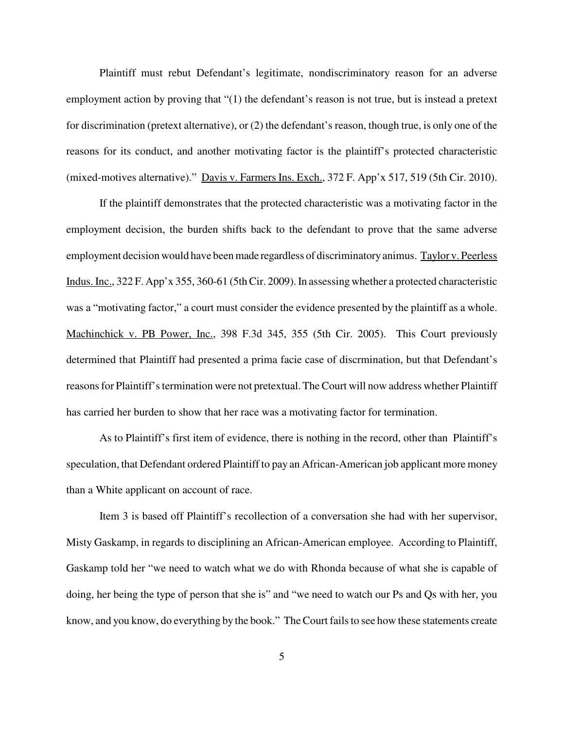Plaintiff must rebut Defendant's legitimate, nondiscriminatory reason for an adverse employment action by proving that "(1) the defendant's reason is not true, but is instead a pretext for discrimination (pretext alternative), or (2) the defendant's reason, though true, is only one of the reasons for its conduct, and another motivating factor is the plaintiff's protected characteristic (mixed-motives alternative)." Davis v. Farmers Ins. Exch., 372 F. App'x 517, 519 (5th Cir. 2010).

If the plaintiff demonstrates that the protected characteristic was a motivating factor in the employment decision, the burden shifts back to the defendant to prove that the same adverse employment decision would have been made regardless of discriminatory animus. Taylor v. Peerless Indus. Inc., 322 F. App'x 355, 360-61 (5th Cir. 2009). In assessing whether a protected characteristic was a "motivating factor," a court must consider the evidence presented by the plaintiff as a whole. Machinchick v. PB Power, Inc., 398 F.3d 345, 355 (5th Cir. 2005). This Court previously determined that Plaintiff had presented a prima facie case of discrmination, but that Defendant's reasons for Plaintiff's termination were not pretextual. The Court will now address whether Plaintiff has carried her burden to show that her race was a motivating factor for termination.

As to Plaintiff's first item of evidence, there is nothing in the record, other than Plaintiff's speculation, that Defendant ordered Plaintiff to pay an African-American job applicant more money than a White applicant on account of race.

Item 3 is based off Plaintiff's recollection of a conversation she had with her supervisor, Misty Gaskamp, in regards to disciplining an African-American employee. According to Plaintiff, Gaskamp told her "we need to watch what we do with Rhonda because of what she is capable of doing, her being the type of person that she is" and "we need to watch our Ps and Qs with her, you know, and you know, do everything by the book." The Court fails to see how these statements create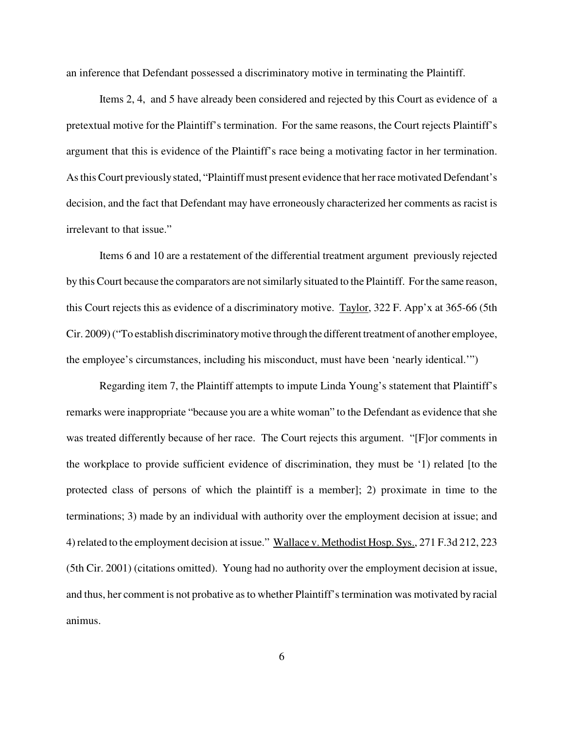an inference that Defendant possessed a discriminatory motive in terminating the Plaintiff.

Items 2, 4, and 5 have already been considered and rejected by this Court as evidence of a pretextual motive for the Plaintiff's termination. For the same reasons, the Court rejects Plaintiff's argument that this is evidence of the Plaintiff's race being a motivating factor in her termination. As this Court previously stated, "Plaintiff must present evidence that her race motivated Defendant's decision, and the fact that Defendant may have erroneously characterized her comments as racist is irrelevant to that issue."

Items 6 and 10 are a restatement of the differential treatment argument previously rejected by this Court because the comparators are notsimilarly situated to the Plaintiff. For the same reason, this Court rejects this as evidence of a discriminatory motive. Taylor, 322 F. App'x at 365-66 (5th Cir. 2009)("To establish discriminatorymotive through the different treatment of another employee, the employee's circumstances, including his misconduct, must have been 'nearly identical.'")

Regarding item 7, the Plaintiff attempts to impute Linda Young's statement that Plaintiff's remarks were inappropriate "because you are a white woman" to the Defendant as evidence that she was treated differently because of her race. The Court rejects this argument. "[F]or comments in the workplace to provide sufficient evidence of discrimination, they must be '1) related [to the protected class of persons of which the plaintiff is a member]; 2) proximate in time to the terminations; 3) made by an individual with authority over the employment decision at issue; and 4) related to the employment decision at issue." Wallace v. Methodist Hosp. Sys., 271 F.3d 212, 223 (5th Cir. 2001) (citations omitted). Young had no authority over the employment decision at issue, and thus, her comment is not probative as to whether Plaintiff's termination was motivated by racial animus.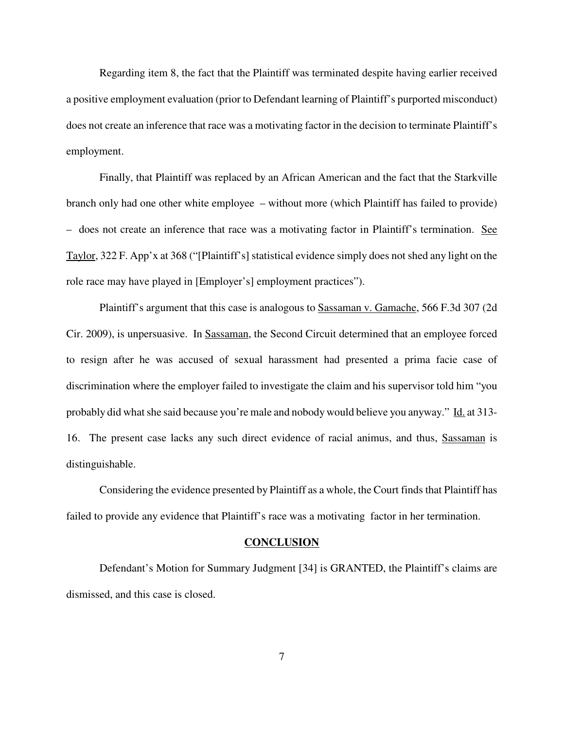Regarding item 8, the fact that the Plaintiff was terminated despite having earlier received a positive employment evaluation (prior to Defendant learning of Plaintiff's purported misconduct) does not create an inference that race was a motivating factor in the decision to terminate Plaintiff's employment.

Finally, that Plaintiff was replaced by an African American and the fact that the Starkville branch only had one other white employee – without more (which Plaintiff has failed to provide) – does not create an inference that race was a motivating factor in Plaintiff's termination. See Taylor, 322 F. App'x at 368 ("[Plaintiff's] statistical evidence simply does not shed any light on the role race may have played in [Employer's] employment practices").

Plaintiff's argument that this case is analogous to Sassaman v. Gamache, 566 F.3d 307 (2d Cir. 2009), is unpersuasive. In Sassaman, the Second Circuit determined that an employee forced to resign after he was accused of sexual harassment had presented a prima facie case of discrimination where the employer failed to investigate the claim and his supervisor told him "you probably did what she said because you're male and nobody would believe you anyway." Id. at 313-16. The present case lacks any such direct evidence of racial animus, and thus, Sassaman is distinguishable.

Considering the evidence presented by Plaintiff as a whole, the Court finds that Plaintiff has failed to provide any evidence that Plaintiff's race was a motivating factor in her termination.

### **CONCLUSION**

Defendant's Motion for Summary Judgment [34] is GRANTED, the Plaintiff's claims are dismissed, and this case is closed.